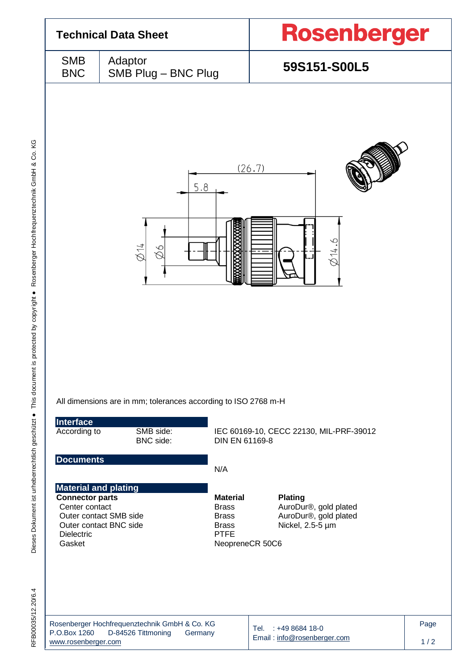|                           |                                                                                                            | <b>Rosenberger</b>                      |  |  |  |
|---------------------------|------------------------------------------------------------------------------------------------------------|-----------------------------------------|--|--|--|
| <b>SMB</b><br><b>BNC</b>  | Adaptor<br>SMB Plug - BNC Plug                                                                             | 59S151-S00L5                            |  |  |  |
|                           | 5.8<br>$\lesssim 14$<br>$\delta\varnothing$                                                                | (26.7)<br>$\varnothing$ 14.6            |  |  |  |
|                           |                                                                                                            |                                         |  |  |  |
| Interface<br>According to | All dimensions are in mm; tolerances according to ISO 2768 m-H<br>SMB side:<br>BNC side:<br>DIN EN 61169-8 | IEC 60169-10, CECC 22130, MIL-PRF-39012 |  |  |  |
| <b>Documents</b>          | N/A                                                                                                        |                                         |  |  |  |